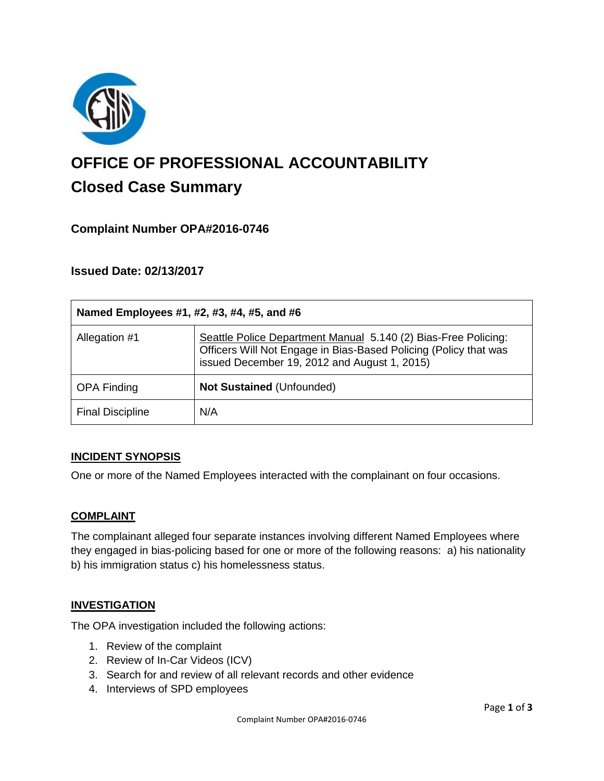

# **OFFICE OF PROFESSIONAL ACCOUNTABILITY Closed Case Summary**

## **Complaint Number OPA#2016-0746**

## **Issued Date: 02/13/2017**

| Named Employees #1, #2, #3, #4, #5, and #6 |                                                                                                                                                                                    |
|--------------------------------------------|------------------------------------------------------------------------------------------------------------------------------------------------------------------------------------|
| Allegation #1                              | Seattle Police Department Manual 5.140 (2) Bias-Free Policing:<br>Officers Will Not Engage in Bias-Based Policing (Policy that was<br>issued December 19, 2012 and August 1, 2015) |
| <b>OPA Finding</b>                         | <b>Not Sustained (Unfounded)</b>                                                                                                                                                   |
| <b>Final Discipline</b>                    | N/A                                                                                                                                                                                |

#### **INCIDENT SYNOPSIS**

One or more of the Named Employees interacted with the complainant on four occasions.

#### **COMPLAINT**

The complainant alleged four separate instances involving different Named Employees where they engaged in bias-policing based for one or more of the following reasons: a) his nationality b) his immigration status c) his homelessness status.

#### **INVESTIGATION**

The OPA investigation included the following actions:

- 1. Review of the complaint
- 2. Review of In-Car Videos (ICV)
- 3. Search for and review of all relevant records and other evidence
- 4. Interviews of SPD employees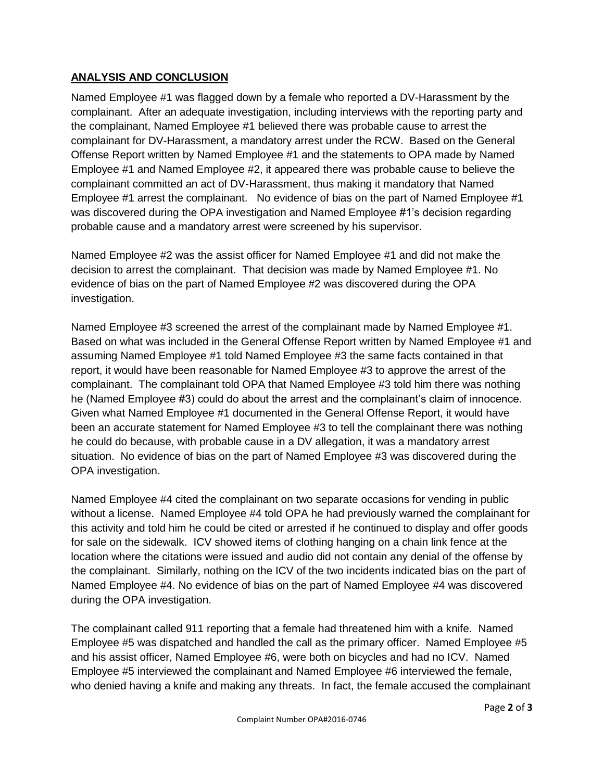## **ANALYSIS AND CONCLUSION**

Named Employee #1 was flagged down by a female who reported a DV-Harassment by the complainant. After an adequate investigation, including interviews with the reporting party and the complainant, Named Employee #1 believed there was probable cause to arrest the complainant for DV-Harassment, a mandatory arrest under the RCW. Based on the General Offense Report written by Named Employee #1 and the statements to OPA made by Named Employee #1 and Named Employee #2, it appeared there was probable cause to believe the complainant committed an act of DV-Harassment, thus making it mandatory that Named Employee #1 arrest the complainant. No evidence of bias on the part of Named Employee #1 was discovered during the OPA investigation and Named Employee #1's decision regarding probable cause and a mandatory arrest were screened by his supervisor.

Named Employee #2 was the assist officer for Named Employee #1 and did not make the decision to arrest the complainant. That decision was made by Named Employee #1. No evidence of bias on the part of Named Employee #2 was discovered during the OPA investigation.

Named Employee #3 screened the arrest of the complainant made by Named Employee #1. Based on what was included in the General Offense Report written by Named Employee #1 and assuming Named Employee #1 told Named Employee #3 the same facts contained in that report, it would have been reasonable for Named Employee #3 to approve the arrest of the complainant. The complainant told OPA that Named Employee #3 told him there was nothing he (Named Employee #3) could do about the arrest and the complainant's claim of innocence. Given what Named Employee #1 documented in the General Offense Report, it would have been an accurate statement for Named Employee #3 to tell the complainant there was nothing he could do because, with probable cause in a DV allegation, it was a mandatory arrest situation. No evidence of bias on the part of Named Employee #3 was discovered during the OPA investigation.

Named Employee #4 cited the complainant on two separate occasions for vending in public without a license. Named Employee #4 told OPA he had previously warned the complainant for this activity and told him he could be cited or arrested if he continued to display and offer goods for sale on the sidewalk. ICV showed items of clothing hanging on a chain link fence at the location where the citations were issued and audio did not contain any denial of the offense by the complainant. Similarly, nothing on the ICV of the two incidents indicated bias on the part of Named Employee #4. No evidence of bias on the part of Named Employee #4 was discovered during the OPA investigation.

The complainant called 911 reporting that a female had threatened him with a knife. Named Employee #5 was dispatched and handled the call as the primary officer. Named Employee #5 and his assist officer, Named Employee #6, were both on bicycles and had no ICV. Named Employee #5 interviewed the complainant and Named Employee #6 interviewed the female, who denied having a knife and making any threats. In fact, the female accused the complainant